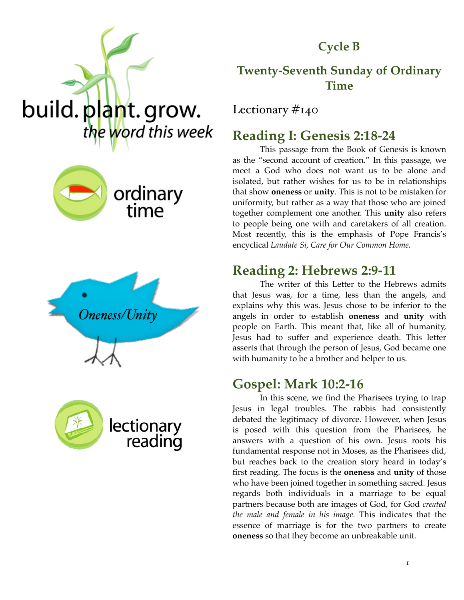

#### **Cycle B**

#### **Twenty-Seventh Sunday of Ordinary Time**

Lectionary #140

# **Reading I: Genesis 2:18-24**

This passage from the Book of Genesis is known as the "second account of creation." In this passage, we meet a God who does not want us to be alone and isolated, but rather wishes for us to be in relationships that show **oneness** or **unity**. This is not to be mistaken for uniformity, but rather as a way that those who are joined together complement one another. This **unity** also refers to people being one with and caretakers of all creation. Most recently, this is the emphasis of Pope Francis's encyclical *Laudate Si, Care for Our Common Home.* 

#### **Reading 2: Hebrews 2:9-11**

The writer of this Letter to the Hebrews admits that Jesus was, for a time, less than the angels, and explains why this was. Jesus chose to be inferior to the angels in order to establish **oneness** and **unity** with people on Earth. This meant that, like all of humanity, Jesus had to suffer and experience death. This letter asserts that through the person of Jesus, God became one with humanity to be a brother and helper to us.

## **Gospel: Mark 10:2-16**

In this scene, we find the Pharisees trying to trap Jesus in legal troubles. The rabbis had consistently debated the legitimacy of divorce. However, when Jesus is posed with this question from the Pharisees, he answers with a question of his own. Jesus roots his fundamental response not in Moses, as the Pharisees did, but reaches back to the creation story heard in today's first reading. The focus is the **oneness** and **unity** of those who have been joined together in something sacred. Jesus regards both individuals in a marriage to be equal partners because both are images of God, for God *created the male and female in his image.* This indicates that the essence of marriage is for the two partners to create **oneness** so that they become an unbreakable unit.







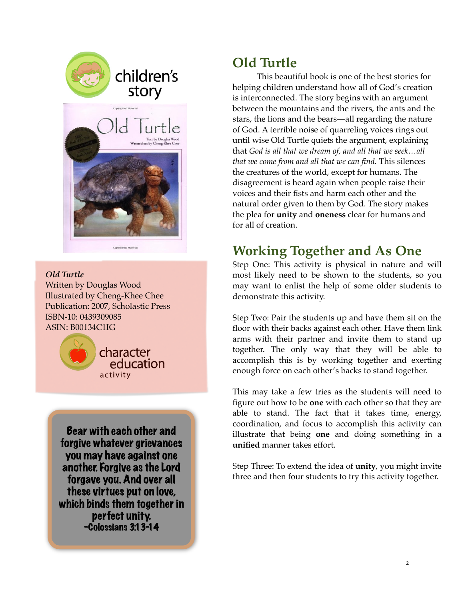



*Old Turtle* Written by Douglas Wood Illustrated by Cheng-Khee Chee Publication: 2007, Scholastic Press ISBN-10: 0439309085 ASIN: B00134C1IG



Bear with each other and forgive whatever grievances you may have against one another. Forgive as the Lord forgave you. And over all these virtues put on love, which binds them together in perfect unity. -Colossians 3:13-14

# **Old Turtle**

This beautiful book is one of the best stories for helping children understand how all of God's creation is interconnected. The story begins with an argument between the mountains and the rivers, the ants and the stars, the lions and the bears—all regarding the nature of God. A terrible noise of quarreling voices rings out until wise Old Turtle quiets the argument, explaining that *God is all that we dream of, and all that we seek…all that we come from and all that we can find.* This silences the creatures of the world, except for humans. The disagreement is heard again when people raise their voices and their fists and harm each other and the natural order given to them by God. The story makes the plea for **unity** and **oneness** clear for humans and for all of creation.

# **Working Together and As One**

Step One: This activity is physical in nature and will most likely need to be shown to the students, so you may want to enlist the help of some older students to demonstrate this activity.

Step Two: Pair the students up and have them sit on the floor with their backs against each other. Have them link arms with their partner and invite them to stand up together. The only way that they will be able to accomplish this is by working together and exerting enough force on each other's backs to stand together.

This may take a few tries as the students will need to figure out how to be **one** with each other so that they are able to stand. The fact that it takes time, energy, coordination, and focus to accomplish this activity can illustrate that being **one** and doing something in a **unified** manner takes effort.

Step Three: To extend the idea of **unity**, you might invite three and then four students to try this activity together.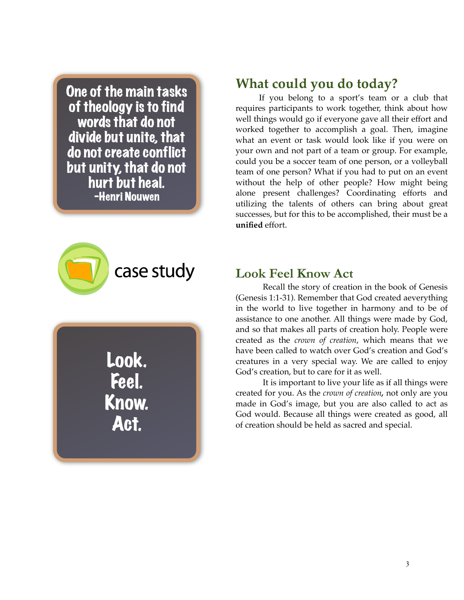One of the main tasks of theology is to find words that do not divide but unite, that do not create conflict but unity, that do not hurt but heal. -Henri Nouwen



Look. Feel. Know. Act.

## **What could you do today?**

If you belong to a sport's team or a club that requires participants to work together, think about how well things would go if everyone gave all their effort and worked together to accomplish a goal. Then, imagine what an event or task would look like if you were on your own and not part of a team or group. For example, could you be a soccer team of one person, or a volleyball team of one person? What if you had to put on an event without the help of other people? How might being alone present challenges? Coordinating efforts and utilizing the talents of others can bring about great successes, but for this to be accomplished, their must be a **unified** effort.

#### **Look Feel Know Act**

Recall the story of creation in the book of Genesis (Genesis 1:1-31). Remember that God created aeverything in the world to live together in harmony and to be of assistance to one another. All things were made by God, and so that makes all parts of creation holy. People were created as the *crown of creation*, which means that we have been called to watch over God's creation and God's creatures in a very special way. We are called to enjoy God's creation, but to care for it as well.

It is important to live your life as if all things were created for you. As the *crown of creation,* not only are you made in God's image, but you are also called to act as God would. Because all things were created as good, all of creation should be held as sacred and special.